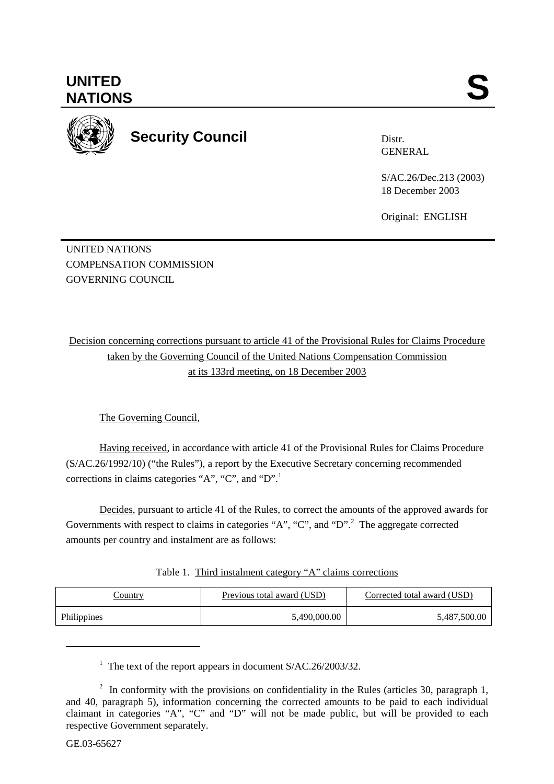

**Security Council** 

Distr. GENERAL

S/AC.26/Dec.213 (2003) 18 December 2003

Original: ENGLISH

UNITED NATIONS COMPENSATION COMMISSION GOVERNING COUNCIL

Decision concerning corrections pursuant to article 41 of the Provisional Rules for Claims Procedure taken by the Governing Council of the United Nations Compensation Commission at its 133rd meeting, on 18 December 2003

The Governing Council,

Having received, in accordance with article 41 of the Provisional Rules for Claims Procedure (S/AC.26/1992/10) ("the Rules"), a report by the Executive Secretary concerning recommended corrections in claims categories "A", "C", and "D".<sup>1</sup>

Decides, pursuant to article 41 of the Rules, to correct the amounts of the approved awards for Governments with respect to claims in categories "A", "C", and "D".<sup>2</sup> The aggregate corrected amounts per country and instalment are as follows:

| Table 1. Third instalment category "A" claims corrections |  |  |
|-----------------------------------------------------------|--|--|
|                                                           |  |  |

| <u>Country</u> | <b>Previous total award (USD)</b> | Corrected total award (USD) |
|----------------|-----------------------------------|-----------------------------|
| Philippines    | 5,490,000.00                      | 5,487,500.00                |

<sup>1</sup> The text of the report appears in document S/AC.26/2003/32.

l

<sup>&</sup>lt;sup>2</sup> In conformity with the provisions on confidentiality in the Rules (articles 30, paragraph 1, and 40, paragraph 5), information concerning the corrected amounts to be paid to each individual claimant in categories "A", "C" and "D" will not be made public, but will be provided to each respective Government separately.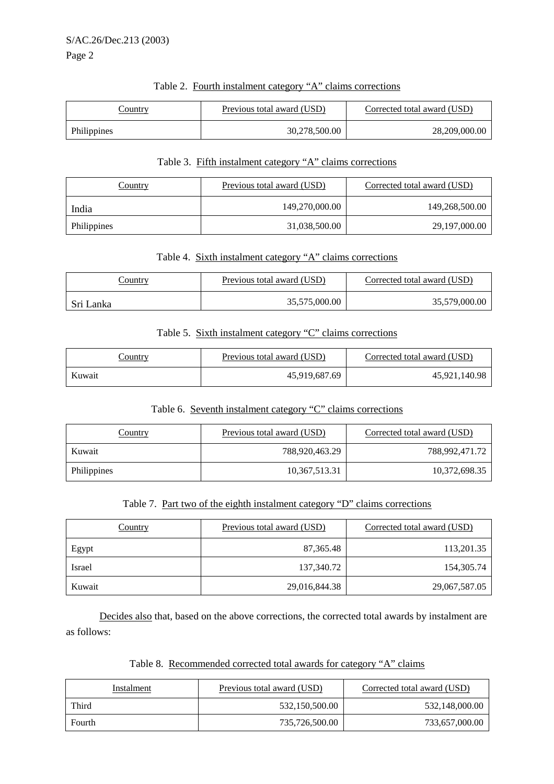| Table 2. Fourth instalment category "A" claims corrections |  |  |
|------------------------------------------------------------|--|--|
|                                                            |  |  |

| .`ountry    | Previous total award (USD) | Corrected total award (USD) |
|-------------|----------------------------|-----------------------------|
| Philippines | 30,278,500.00              | 28,209,000.00               |

#### Table 3. Fifth instalment category "A" claims corrections

| Country     | Previous total award (USD) | Corrected total award (USD) |
|-------------|----------------------------|-----------------------------|
| India       | 149,270,000.00             | 149,268,500.00              |
| Philippines | 31,038,500.00              | 29, 197, 000.00             |

#### Table 4. Sixth instalment category "A" claims corrections

| .`ountrv  | Previous total award (USD) | Corrected total award (USD) |
|-----------|----------------------------|-----------------------------|
| Sri Lanka | 35,575,000.00              | 35,579,000.00               |

### Table 5. Sixth instalment category "C" claims corrections

| <u>Country</u> | Previous total award (USD) | Corrected total award (USD) |
|----------------|----------------------------|-----------------------------|
| Kuwait         | 45,919,687.69              | 45,921,140.98               |

#### Table 6. Seventh instalment category "C" claims corrections

| Country     | Previous total award (USD) | Corrected total award (USD) |
|-------------|----------------------------|-----------------------------|
| Kuwait      | 788,920,463.29             | 788,992,471.72              |
| Philippines | 10,367,513.31              | 10,372,698.35               |

## Table 7. Part two of the eighth instalment category "D" claims corrections

| <b>Country</b> | Previous total award (USD) | Corrected total award (USD) |
|----------------|----------------------------|-----------------------------|
| Egypt          | 87, 365. 48                | 113,201.35                  |
| Israel         | 137,340.72                 | 154,305.74                  |
| Kuwait         | 29,016,844.38              | 29,067,587.05               |

 Decides also that, based on the above corrections, the corrected total awards by instalment are as follows:

Table 8. Recommended corrected total awards for category "A" claims

| Instalment | Previous total award (USD) | Corrected total award (USD) |
|------------|----------------------------|-----------------------------|
| Third      | 532,150,500.00             | 532,148,000.00              |
| Fourth     | 735,726,500.00             | 733,657,000.00              |